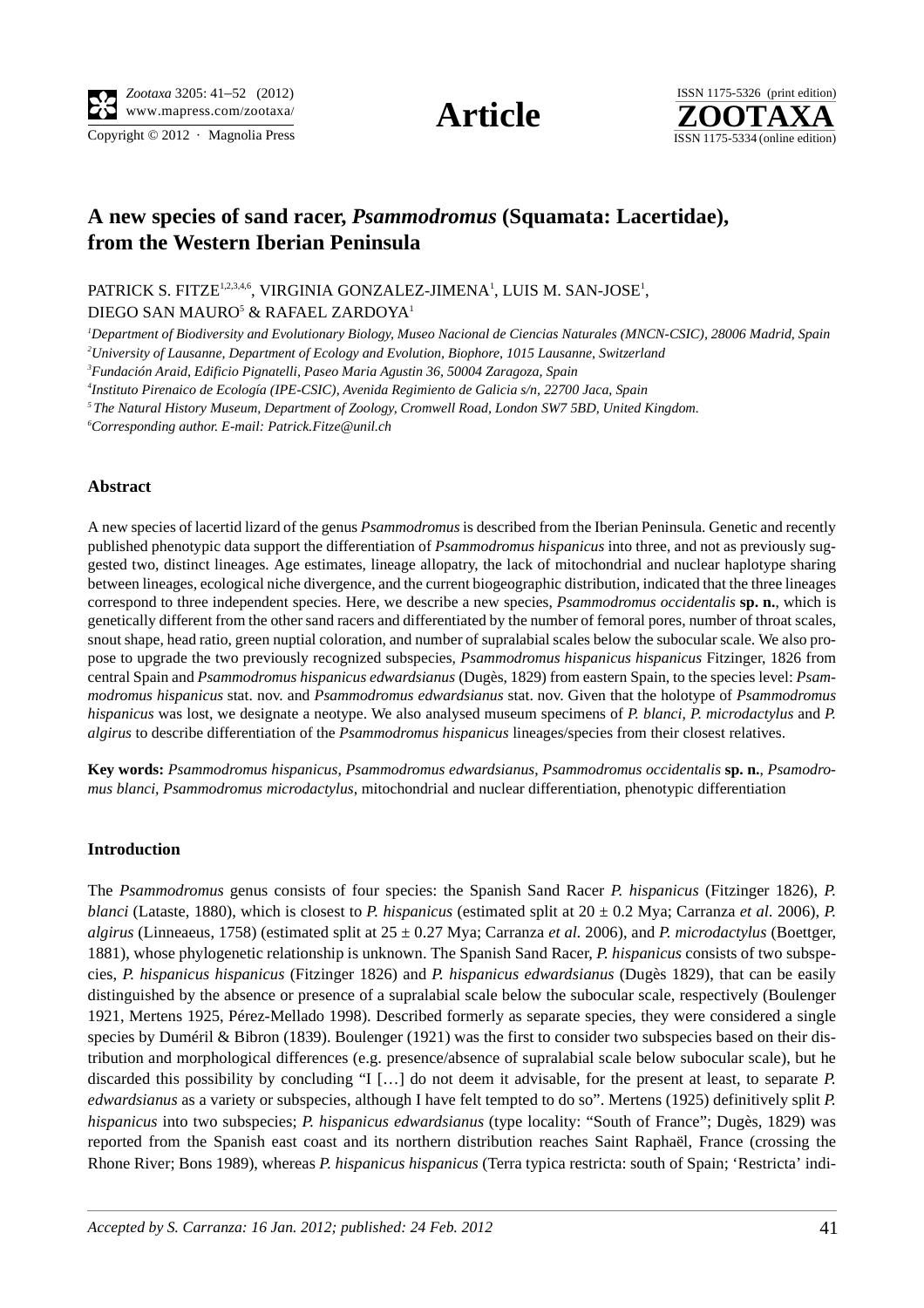Copyright  $\odot$  2012 · Magnolia Press ISSN 1175-5334 (online edition)



# **A new species of sand racer,** *Psammodromus* **(Squamata: Lacertidae), from the Western Iberian Peninsula**

PATRICK S. FITZE<sup>1,2,3,4,6</sup>, VIRGINIA GONZALEZ-JIMENA<sup>1</sup>, LUIS M. SAN-JOSE<sup>1</sup>,

DIEGO SAN MAURO<sup>5</sup> & RAFAEL ZARDOYA<sup>1</sup>

*1 Department of Biodiversity and Evolutionary Biology, Museo Nacional de Ciencias Naturales (MNCN-CSIC), 28006 Madrid, Spain 2 University of Lausanne, Department of Ecology and Evolution, Biophore, 1015 Lausanne, Switzerland*

*3 Fundación Araid, Edificio Pignatelli, Paseo Maria Agustin 36, 50004 Zaragoza, Spain*

*4 Instituto Pirenaico de Ecología (IPE-CSIC), Avenida Regimiento de Galicia s/n, 22700 Jaca, Spain*

*5 The Natural History Museum, Department of Zoology, Cromwell Road, London SW7 5BD, United Kingdom.* 

*6 Corresponding author. E-mail: Patrick.Fitze@unil.ch*

## **Abstract**

A new species of lacertid lizard of the genus *Psammodromus* is described from the Iberian Peninsula. Genetic and recently published phenotypic data support the differentiation of *Psammodromus hispanicus* into three, and not as previously suggested two, distinct lineages. Age estimates, lineage allopatry, the lack of mitochondrial and nuclear haplotype sharing between lineages, ecological niche divergence, and the current biogeographic distribution, indicated that the three lineages correspond to three independent species. Here, we describe a new species, *Psammodromus occidentalis* **sp. n.**, which is genetically different from the other sand racers and differentiated by the number of femoral pores, number of throat scales, snout shape, head ratio, green nuptial coloration, and number of supralabial scales below the subocular scale. We also propose to upgrade the two previously recognized subspecies, *Psammodromus hispanicus hispanicus* Fitzinger, 1826 from central Spain and *Psammodromus hispanicus edwardsianus* (Dugès, 1829) from eastern Spain, to the species level: *Psammodromus hispanicus* stat. nov. and *Psammodromus edwardsianus* stat. nov. Given that the holotype of *Psammodromus hispanicus* was lost, we designate a neotype. We also analysed museum specimens of *P. blanci*, *P. microdactylus* and *P. algirus* to describe differentiation of the *Psammodromus hispanicus* lineages/species from their closest relatives.

**Key words:** *Psammodromus hispanicus*, *Psammodromus edwardsianus*, *Psammodromus occidentalis* **sp. n.**, *Psamodromus blanci, Psammodromus microdactylus*, mitochondrial and nuclear differentiation, phenotypic differentiation

## **Introduction**

The *Psammodromus* genus consists of four species: the Spanish Sand Racer *P. hispanicus* (Fitzinger 1826), *P. blanci* (Lataste, 1880), which is closest to *P. hispanicus* (estimated split at  $20 \pm 0.2$  Mya; Carranza *et al.* 2006), *P. algirus* (Linneaeus, 1758) (estimated split at 25 ± 0.27 Mya; Carranza *et al.* 2006), and *P. microdactylus* (Boettger, 1881), whose phylogenetic relationship is unknown. The Spanish Sand Racer, *P. hispanicus* consists of two subspecies, *P. hispanicus hispanicus* (Fitzinger 1826) and *P. hispanicus edwardsianus* (Dugès 1829), that can be easily distinguished by the absence or presence of a supralabial scale below the subocular scale, respectively (Boulenger 1921, Mertens 1925, Pérez-Mellado 1998). Described formerly as separate species, they were considered a single species by Duméril & Bibron (1839). Boulenger (1921) was the first to consider two subspecies based on their distribution and morphological differences (e.g. presence/absence of supralabial scale below subocular scale), but he discarded this possibility by concluding "I [...] do not deem it advisable, for the present at least, to separate *P*. *edwardsianus* as a variety or subspecies, although I have felt tempted to do so". Mertens (1925) definitively split *P. hispanicus* into two subspecies; *P. hispanicus edwardsianus* (type locality: "South of France"; Dugès, 1829) was reported from the Spanish east coast and its northern distribution reaches Saint Raphaël, France (crossing the Rhone River; Bons 1989), whereas *P. hispanicus hispanicus* (Terra typica restricta: south of Spain; 'Restricta' indi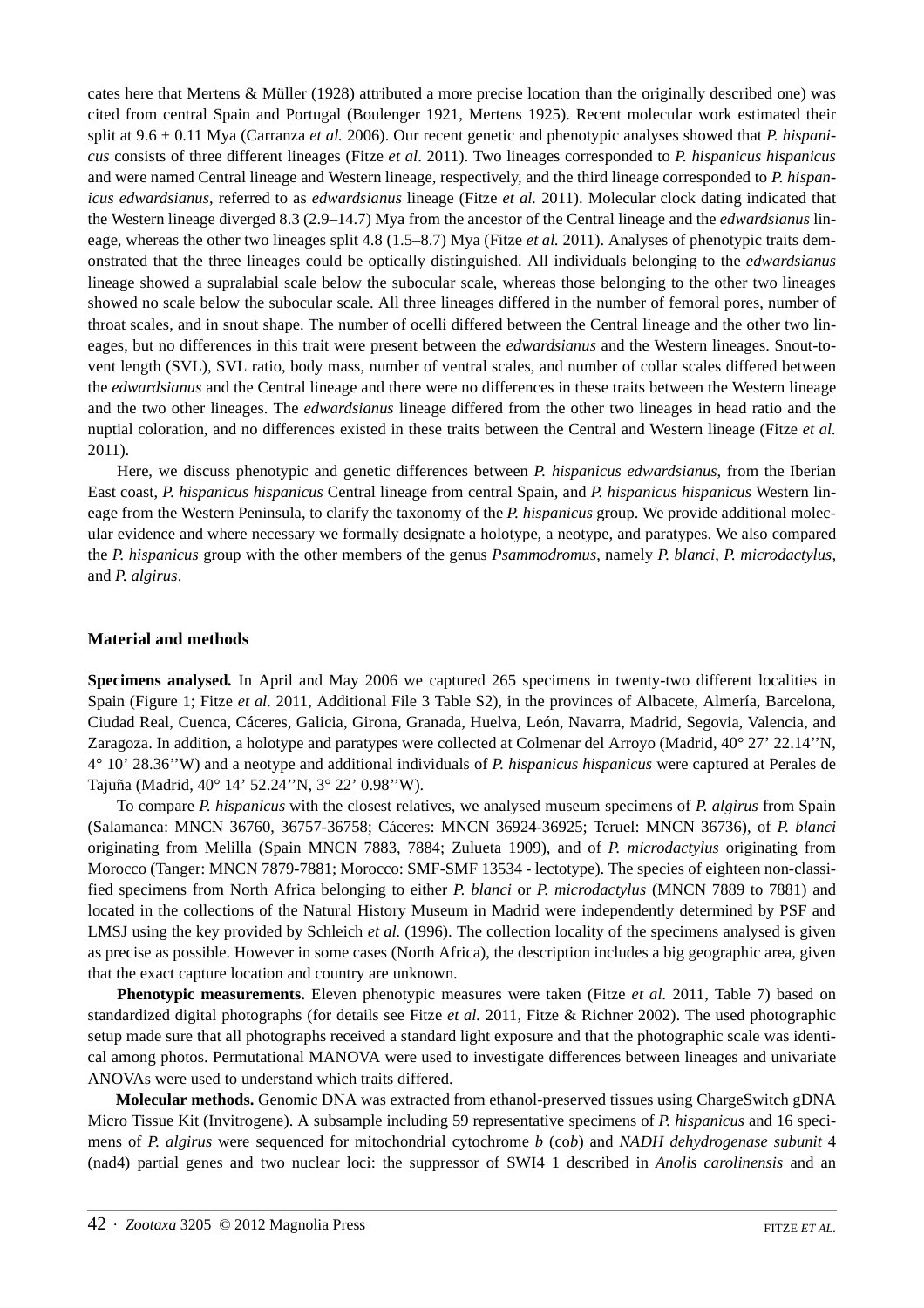cates here that Mertens & Müller (1928) attributed a more precise location than the originally described one) was cited from central Spain and Portugal (Boulenger 1921, Mertens 1925). Recent molecular work estimated their split at 9.6 ± 0.11 Mya (Carranza *et al.* 2006). Our recent genetic and phenotypic analyses showed that *P. hispanicus* consists of three different lineages (Fitze *et al*. 2011). Two lineages corresponded to *P. hispanicus hispanicus* and were named Central lineage and Western lineage, respectively, and the third lineage corresponded to *P. hispanicus edwardsianus*, referred to as *edwardsianus* lineage (Fitze *et al.* 2011). Molecular clock dating indicated that the Western lineage diverged 8.3 (2.9–14.7) Mya from the ancestor of the Central lineage and the *edwardsianus* lineage, whereas the other two lineages split 4.8 (1.5–8.7) Mya (Fitze *et al.* 2011). Analyses of phenotypic traits demonstrated that the three lineages could be optically distinguished. All individuals belonging to the *edwardsianus* lineage showed a supralabial scale below the subocular scale, whereas those belonging to the other two lineages showed no scale below the subocular scale. All three lineages differed in the number of femoral pores, number of throat scales, and in snout shape. The number of ocelli differed between the Central lineage and the other two lineages, but no differences in this trait were present between the *edwardsianus* and the Western lineages. Snout-tovent length (SVL), SVL ratio, body mass, number of ventral scales, and number of collar scales differed between the *edwardsianus* and the Central lineage and there were no differences in these traits between the Western lineage and the two other lineages. The *edwardsianus* lineage differed from the other two lineages in head ratio and the nuptial coloration, and no differences existed in these traits between the Central and Western lineage (Fitze *et al.* 2011).

Here, we discuss phenotypic and genetic differences between *P. hispanicus edwardsianus*, from the Iberian East coast, *P. hispanicus hispanicus* Central lineage from central Spain, and *P. hispanicus hispanicus* Western lineage from the Western Peninsula, to clarify the taxonomy of the *P. hispanicus* group. We provide additional molecular evidence and where necessary we formally designate a holotype, a neotype, and paratypes. We also compared the *P. hispanicus* group with the other members of the genus *Psammodromus*, namely *P. blanci*, *P. microdactylus,*  and *P. algirus*.

## **Material and methods**

**Specimens analysed***.* In April and May 2006 we captured 265 specimens in twenty-two different localities in Spain (Figure 1; Fitze *et al.* 2011, Additional File 3 Table S2), in the provinces of Albacete, Almería, Barcelona, Ciudad Real, Cuenca, Cáceres, Galicia, Girona, Granada, Huelva, León, Navarra, Madrid, Segovia, Valencia, and Zaragoza. In addition, a holotype and paratypes were collected at Colmenar del Arroyo (Madrid, 40° 27' 22.14''N, 4° 10' 28.36''W) and a neotype and additional individuals of *P. hispanicus hispanicus* were captured at Perales de Tajuña (Madrid, 40° 14' 52.24''N, 3° 22' 0.98''W).

To compare *P. hispanicus* with the closest relatives, we analysed museum specimens of *P. algirus* from Spain (Salamanca: MNCN 36760, 36757-36758; Cáceres: MNCN 36924-36925; Teruel: MNCN 36736), of *P. blanci* originating from Melilla (Spain MNCN 7883, 7884; Zulueta 1909), and of *P. microdactylus* originating from Morocco (Tanger: MNCN 7879-7881; Morocco: SMF-SMF 13534 - lectotype). The species of eighteen non-classified specimens from North Africa belonging to either *P. blanci* or *P. microdactylus* (MNCN 7889 to 7881) and located in the collections of the Natural History Museum in Madrid were independently determined by PSF and LMSJ using the key provided by Schleich *et al.* (1996). The collection locality of the specimens analysed is given as precise as possible. However in some cases (North Africa), the description includes a big geographic area, given that the exact capture location and country are unknown.

**Phenotypic measurements.** Eleven phenotypic measures were taken (Fitze *et al.* 2011, Table 7) based on standardized digital photographs (for details see Fitze *et al.* 2011, Fitze & Richner 2002). The used photographic setup made sure that all photographs received a standard light exposure and that the photographic scale was identical among photos. Permutational MANOVA were used to investigate differences between lineages and univariate ANOVAs were used to understand which traits differed.

**Molecular methods.** Genomic DNA was extracted from ethanol-preserved tissues using ChargeSwitch gDNA Micro Tissue Kit (Invitrogene). A subsample including 59 representative specimens of *P. hispanicus* and 16 specimens of *P. algirus* were sequenced for mitochondrial cytochrome *b* (co*b*) and *NADH dehydrogenase subunit* 4 (nad4) partial genes and two nuclear loci: the suppressor of SWI4 1 described in *Anolis carolinensis* and an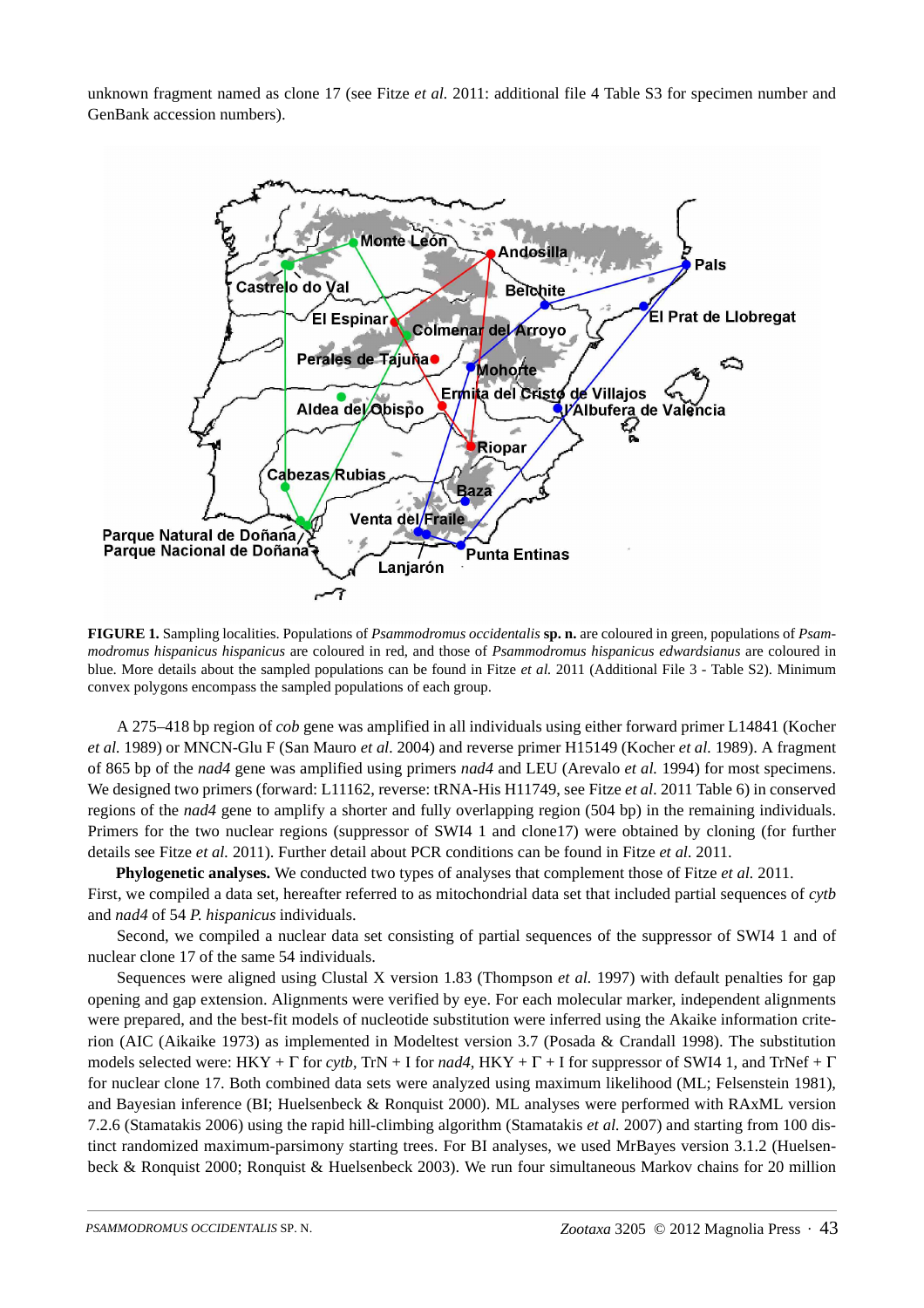unknown fragment named as clone 17 (see Fitze *et al.* 2011: additional file 4 Table S3 for specimen number and GenBank accession numbers).



**FIGURE 1.** Sampling localities. Populations of *Psammodromus occidentalis* **sp. n.** are coloured in green, populations of *Psammodromus hispanicus hispanicus* are coloured in red, and those of *Psammodromus hispanicus edwardsianus* are coloured in blue. More details about the sampled populations can be found in Fitze *et al.* 2011 (Additional File 3 - Table S2). Minimum convex polygons encompass the sampled populations of each group.

A 275–418 bp region of *cob* gene was amplified in all individuals using either forward primer L14841 (Kocher *et al.* 1989) or MNCN-Glu F (San Mauro *et al.* 2004) and reverse primer H15149 (Kocher *et al.* 1989). A fragment of 865 bp of the *nad4* gene was amplified using primers *nad4* and LEU (Arevalo *et al.* 1994) for most specimens. We designed two primers (forward: L11162, reverse: tRNA-His H11749, see Fitze *et al.* 2011 Table 6) in conserved regions of the *nad4* gene to amplify a shorter and fully overlapping region (504 bp) in the remaining individuals. Primers for the two nuclear regions (suppressor of SWI4 1 and clone17) were obtained by cloning (for further details see Fitze *et al.* 2011). Further detail about PCR conditions can be found in Fitze *et al.* 2011.

**Phylogenetic analyses.** We conducted two types of analyses that complement those of Fitze *et al.* 2011.

First, we compiled a data set, hereafter referred to as mitochondrial data set that included partial sequences of *cytb* and *nad4* of 54 *P. hispanicus* individuals.

Second, we compiled a nuclear data set consisting of partial sequences of the suppressor of SWI4 1 and of nuclear clone 17 of the same 54 individuals.

Sequences were aligned using Clustal X version 1.83 (Thompson *et al.* 1997) with default penalties for gap opening and gap extension. Alignments were verified by eye. For each molecular marker, independent alignments were prepared, and the best-fit models of nucleotide substitution were inferred using the Akaike information criterion (AIC (Aikaike 1973) as implemented in Modeltest version 3.7 (Posada & Crandall 1998). The substitution models selected were: HKY + Γ for *cytb*, TrN + I for *nad4*, HKY + Γ + I for suppressor of SWI4 1, and TrNef + Γ for nuclear clone 17. Both combined data sets were analyzed using maximum likelihood (ML; Felsenstein 1981), and Bayesian inference (BI; Huelsenbeck & Ronquist 2000). ML analyses were performed with RAxML version 7.2.6 (Stamatakis 2006) using the rapid hill-climbing algorithm (Stamatakis *et al.* 2007) and starting from 100 distinct randomized maximum-parsimony starting trees. For BI analyses, we used MrBayes version 3.1.2 (Huelsenbeck & Ronquist 2000; Ronquist & Huelsenbeck 2003). We run four simultaneous Markov chains for 20 million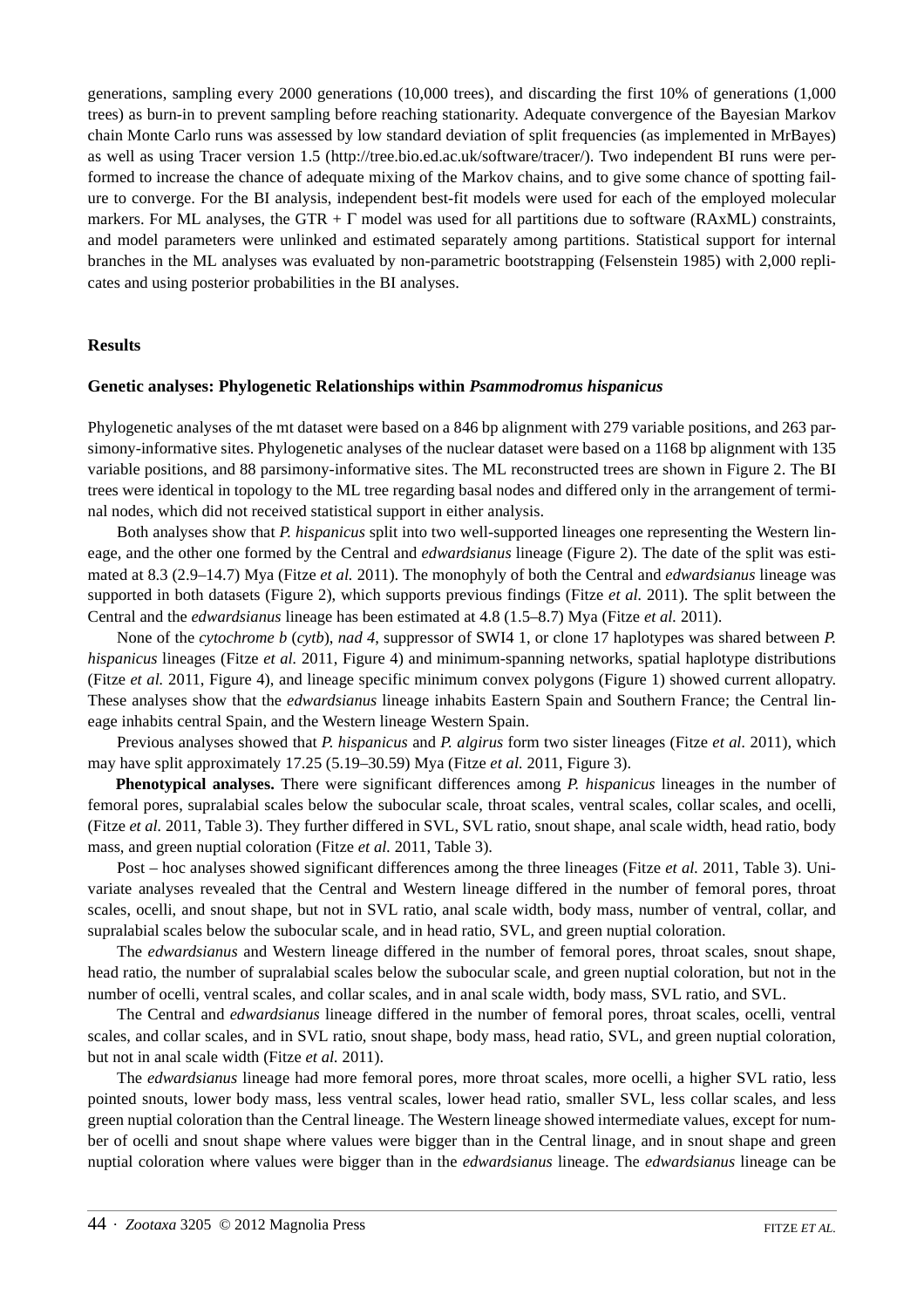generations, sampling every 2000 generations (10,000 trees), and discarding the first 10% of generations (1,000 trees) as burn-in to prevent sampling before reaching stationarity. Adequate convergence of the Bayesian Markov chain Monte Carlo runs was assessed by low standard deviation of split frequencies (as implemented in MrBayes) as well as using Tracer version 1.5 (http://tree.bio.ed.ac.uk/software/tracer/). Two independent BI runs were performed to increase the chance of adequate mixing of the Markov chains, and to give some chance of spotting failure to converge. For the BI analysis, independent best-fit models were used for each of the employed molecular markers. For ML analyses, the GTR +  $\Gamma$  model was used for all partitions due to software (RAxML) constraints, and model parameters were unlinked and estimated separately among partitions. Statistical support for internal branches in the ML analyses was evaluated by non-parametric bootstrapping (Felsenstein 1985) with 2,000 replicates and using posterior probabilities in the BI analyses.

## **Results**

## **Genetic analyses: Phylogenetic Relationships within** *Psammodromus hispanicus*

Phylogenetic analyses of the mt dataset were based on a 846 bp alignment with 279 variable positions, and 263 parsimony-informative sites. Phylogenetic analyses of the nuclear dataset were based on a 1168 bp alignment with 135 variable positions, and 88 parsimony-informative sites. The ML reconstructed trees are shown in Figure 2. The BI trees were identical in topology to the ML tree regarding basal nodes and differed only in the arrangement of terminal nodes, which did not received statistical support in either analysis.

Both analyses show that *P. hispanicus* split into two well-supported lineages one representing the Western lineage, and the other one formed by the Central and *edwardsianus* lineage (Figure 2). The date of the split was estimated at 8.3 (2.9–14.7) Mya (Fitze *et al.* 2011). The monophyly of both the Central and *edwardsianus* lineage was supported in both datasets (Figure 2), which supports previous findings (Fitze *et al.* 2011). The split between the Central and the *edwardsianus* lineage has been estimated at 4.8 (1.5–8.7) Mya (Fitze *et al.* 2011).

None of the *cytochrome b* (*cytb*), *nad 4*, suppressor of SWI4 1, or clone 17 haplotypes was shared between *P. hispanicus* lineages (Fitze *et al.* 2011, Figure 4) and minimum-spanning networks, spatial haplotype distributions (Fitze *et al.* 2011, Figure 4), and lineage specific minimum convex polygons (Figure 1) showed current allopatry. These analyses show that the *edwardsianus* lineage inhabits Eastern Spain and Southern France; the Central lineage inhabits central Spain, and the Western lineage Western Spain.

Previous analyses showed that *P. hispanicus* and *P. algirus* form two sister lineages (Fitze *et al.* 2011), which may have split approximately 17.25 (5.19–30.59) Mya (Fitze *et al.* 2011, Figure 3).

**Phenotypical analyses.** There were significant differences among *P. hispanicus* lineages in the number of femoral pores, supralabial scales below the subocular scale, throat scales, ventral scales, collar scales, and ocelli, (Fitze *et al.* 2011, Table 3). They further differed in SVL, SVL ratio, snout shape, anal scale width, head ratio, body mass, and green nuptial coloration (Fitze *et al.* 2011, Table 3).

Post – hoc analyses showed significant differences among the three lineages (Fitze *et al.* 2011, Table 3). Univariate analyses revealed that the Central and Western lineage differed in the number of femoral pores, throat scales, ocelli, and snout shape, but not in SVL ratio, anal scale width, body mass, number of ventral, collar, and supralabial scales below the subocular scale, and in head ratio, SVL, and green nuptial coloration.

The *edwardsianus* and Western lineage differed in the number of femoral pores, throat scales, snout shape, head ratio, the number of supralabial scales below the subocular scale, and green nuptial coloration, but not in the number of ocelli, ventral scales, and collar scales, and in anal scale width, body mass, SVL ratio, and SVL.

The Central and *edwardsianus* lineage differed in the number of femoral pores, throat scales, ocelli, ventral scales, and collar scales, and in SVL ratio, snout shape, body mass, head ratio, SVL, and green nuptial coloration, but not in anal scale width (Fitze *et al.* 2011).

The *edwardsianus* lineage had more femoral pores, more throat scales, more ocelli, a higher SVL ratio, less pointed snouts, lower body mass, less ventral scales, lower head ratio, smaller SVL, less collar scales, and less green nuptial coloration than the Central lineage. The Western lineage showed intermediate values, except for number of ocelli and snout shape where values were bigger than in the Central linage, and in snout shape and green nuptial coloration where values were bigger than in the *edwardsianus* lineage. The *edwardsianus* lineage can be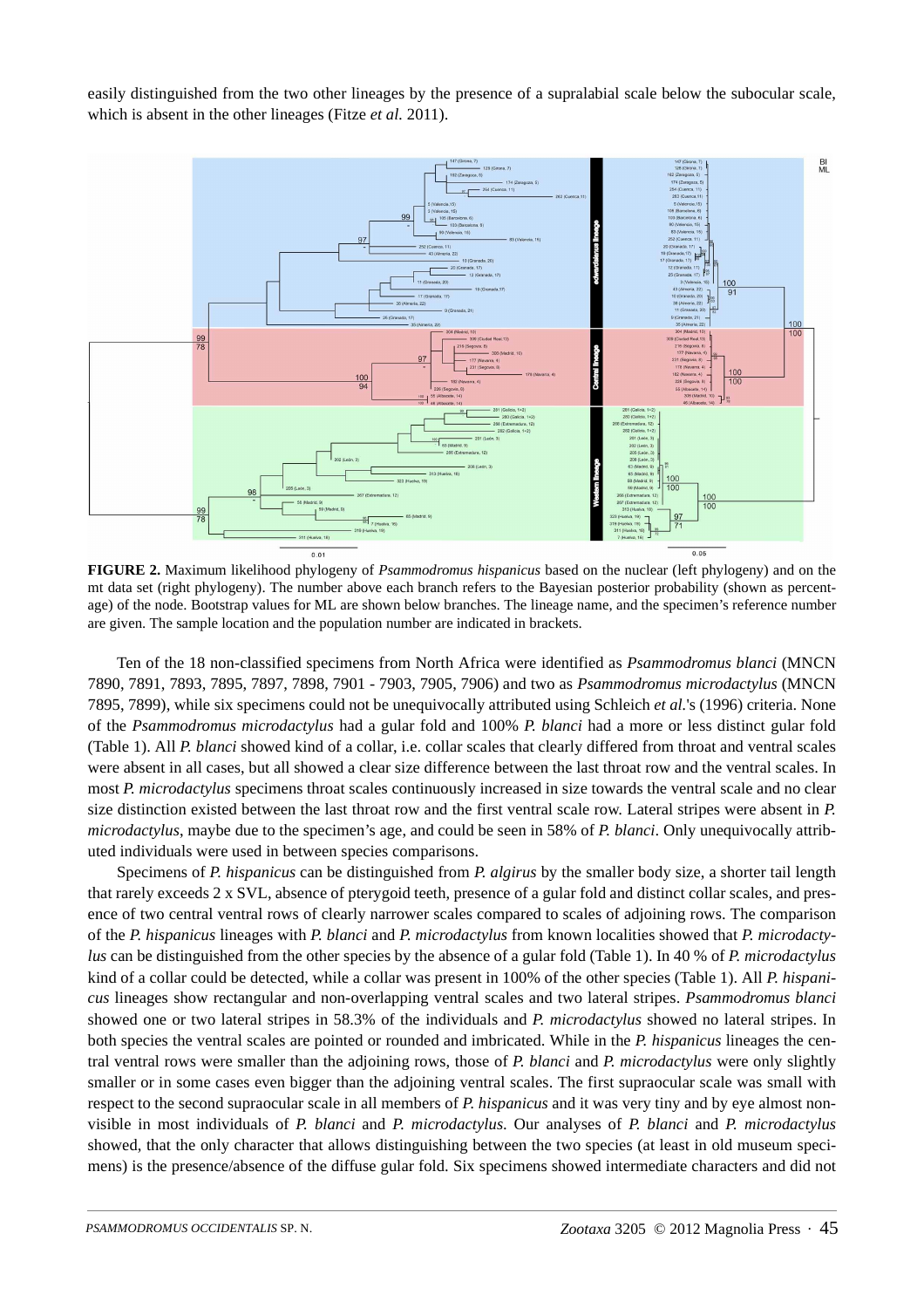easily distinguished from the two other lineages by the presence of a supralabial scale below the subocular scale, which is absent in the other lineages (Fitze *et al.* 2011).



**FIGURE 2.** Maximum likelihood phylogeny of *Psammodromus hispanicus* based on the nuclear (left phylogeny) and on the mt data set (right phylogeny). The number above each branch refers to the Bayesian posterior probability (shown as percentage) of the node. Bootstrap values for ML are shown below branches. The lineage name, and the specimen's reference number are given. The sample location and the population number are indicated in brackets.

Ten of the 18 non-classified specimens from North Africa were identified as *Psammodromus blanci* (MNCN 7890, 7891, 7893, 7895, 7897, 7898, 7901 - 7903, 7905, 7906) and two as *Psammodromus microdactylus* (MNCN 7895, 7899), while six specimens could not be unequivocally attributed using Schleich *et al.*'s (1996) criteria. None of the *Psammodromus microdactylus* had a gular fold and 100% *P. blanci* had a more or less distinct gular fold (Table 1). All *P. blanci* showed kind of a collar, i.e. collar scales that clearly differed from throat and ventral scales were absent in all cases, but all showed a clear size difference between the last throat row and the ventral scales. In most *P. microdactylus* specimens throat scales continuously increased in size towards the ventral scale and no clear size distinction existed between the last throat row and the first ventral scale row. Lateral stripes were absent in *P. microdactylus*, maybe due to the specimen's age, and could be seen in 58% of *P. blanci*. Only unequivocally attributed individuals were used in between species comparisons.

Specimens of *P. hispanicus* can be distinguished from *P. algirus* by the smaller body size, a shorter tail length that rarely exceeds 2 x SVL, absence of pterygoid teeth, presence of a gular fold and distinct collar scales, and presence of two central ventral rows of clearly narrower scales compared to scales of adjoining rows. The comparison of the *P. hispanicus* lineages with *P. blanci* and *P. microdactylus* from known localities showed that *P. microdactylus* can be distinguished from the other species by the absence of a gular fold (Table 1). In 40 % of *P. microdactylus*  kind of a collar could be detected, while a collar was present in 100% of the other species (Table 1). All *P. hispanicus* lineages show rectangular and non-overlapping ventral scales and two lateral stripes. *Psammodromus blanci*  showed one or two lateral stripes in 58.3% of the individuals and *P. microdactylus* showed no lateral stripes. In both species the ventral scales are pointed or rounded and imbricated. While in the *P. hispanicus* lineages the central ventral rows were smaller than the adjoining rows, those of *P. blanci* and *P. microdactylus* were only slightly smaller or in some cases even bigger than the adjoining ventral scales. The first supraocular scale was small with respect to the second supraocular scale in all members of *P. hispanicus* and it was very tiny and by eye almost nonvisible in most individuals of *P. blanci* and *P. microdactylus*. Our analyses of *P. blanci* and *P. microdactylus* showed, that the only character that allows distinguishing between the two species (at least in old museum specimens) is the presence/absence of the diffuse gular fold. Six specimens showed intermediate characters and did not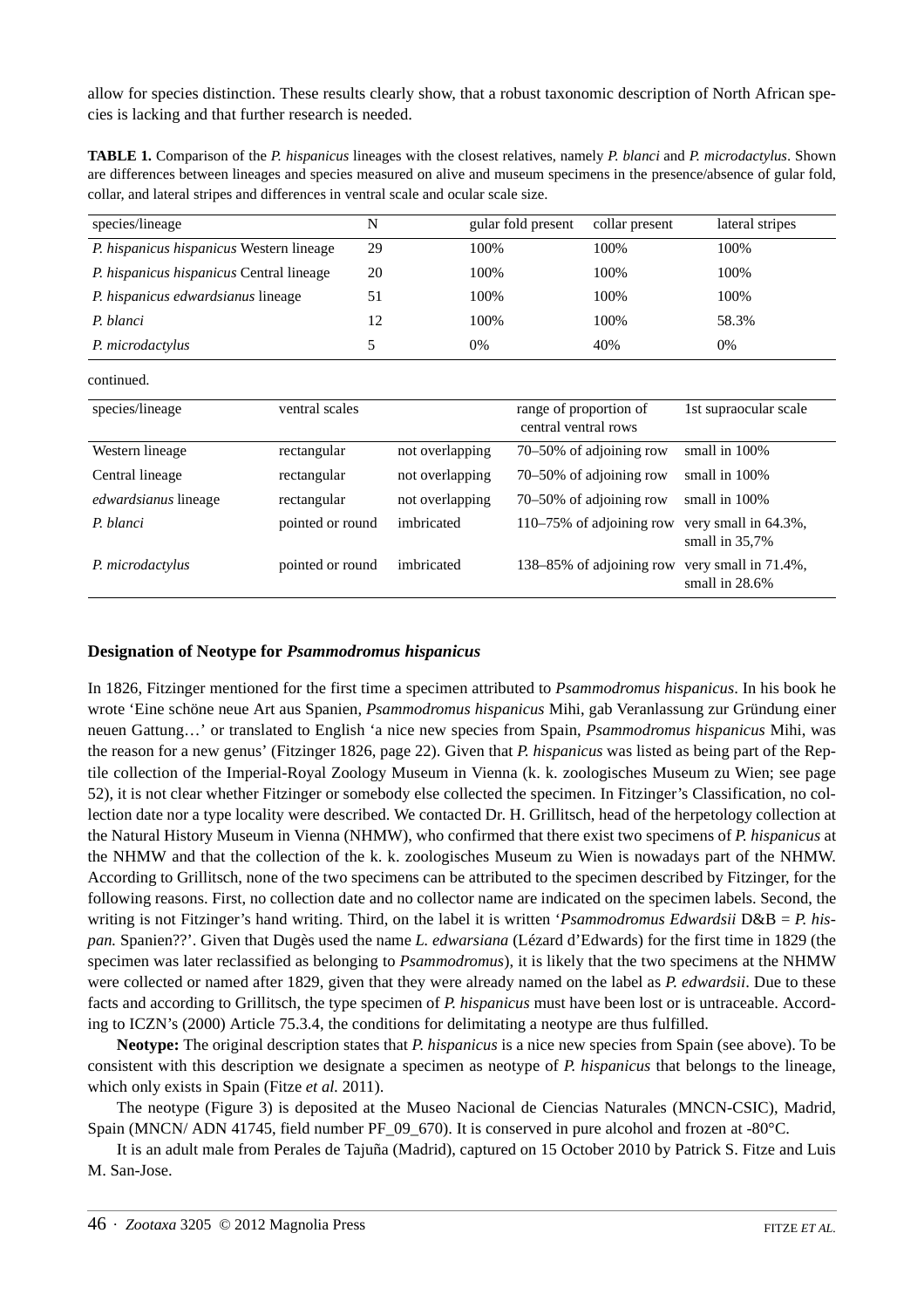allow for species distinction. These results clearly show, that a robust taxonomic description of North African species is lacking and that further research is needed.

**TABLE 1.** Comparison of the *P. hispanicus* lineages with the closest relatives, namely *P. blanci* and *P. microdactylus*. Shown are differences between lineages and species measured on alive and museum specimens in the presence/absence of gular fold, collar, and lateral stripes and differences in ventral scale and ocular scale size.

| species/lineage                                 |                  | N               |      | gular fold present                             | collar present           | lateral stripes                           |
|-------------------------------------------------|------------------|-----------------|------|------------------------------------------------|--------------------------|-------------------------------------------|
| P. hispanicus hispanicus Western lineage        |                  | 29              | 100% |                                                | 100%                     | 100%                                      |
| <i>P. hispanicus hispanicus</i> Central lineage |                  | 20              | 100% |                                                | 100%                     | 100%                                      |
| <i>P. hispanicus edwardsianus lineage</i>       |                  | 51              | 100% |                                                | 100%                     | 100%                                      |
| P. blanci                                       |                  | 12              | 100% |                                                | 100%                     | 58.3%                                     |
| P. microdactylus                                |                  | 5               | 0%   |                                                | 40%                      | 0%                                        |
| continued.                                      |                  |                 |      |                                                |                          |                                           |
| species/lineage                                 | ventral scales   |                 |      | range of proportion of<br>central ventral rows |                          | 1st supraocular scale                     |
| Western lineage                                 | rectangular      | not overlapping |      |                                                | 70–50% of adjoining row  | small in 100%                             |
| Central lineage                                 | rectangular      | not overlapping |      |                                                | 70–50% of adjoining row  | small in 100%                             |
| <i>edwardsianus</i> lineage                     | rectangular      | not overlapping |      |                                                | 70–50% of adjoining row  | small in 100%                             |
| P. blanci                                       | pointed or round | imbricated      |      |                                                | 110-75% of adjoining row | very small in 64.3%,<br>small in $35,7%$  |
| P. microdactylus                                | pointed or round | imbricated      |      |                                                | 138–85% of adjoining row | very small in 71.4%,<br>small in $28.6\%$ |

## **Designation of Neotype for** *Psammodromus hispanicus*

In 1826, Fitzinger mentioned for the first time a specimen attributed to *Psammodromus hispanicus*. In his book he wrote 'Eine schöne neue Art aus Spanien, *Psammodromus hispanicus* Mihi, gab Veranlassung zur Gründung einer neuen Gattung…' or translated to English 'a nice new species from Spain, *Psammodromus hispanicus* Mihi, was the reason for a new genus' (Fitzinger 1826, page 22). Given that *P. hispanicus* was listed as being part of the Reptile collection of the Imperial-Royal Zoology Museum in Vienna (k. k. zoologisches Museum zu Wien; see page 52), it is not clear whether Fitzinger or somebody else collected the specimen. In Fitzinger's Classification, no collection date nor a type locality were described. We contacted Dr. H. Grillitsch, head of the herpetology collection at the Natural History Museum in Vienna (NHMW), who confirmed that there exist two specimens of *P. hispanicus* at the NHMW and that the collection of the k. k. zoologisches Museum zu Wien is nowadays part of the NHMW. According to Grillitsch, none of the two specimens can be attributed to the specimen described by Fitzinger, for the following reasons. First, no collection date and no collector name are indicated on the specimen labels. Second, the writing is not Fitzinger's hand writing. Third, on the label it is written '*Psammodromus Edwardsii* D&B = *P. hispan.* Spanien??'. Given that Dugès used the name *L. edwarsiana* (Lézard d'Edwards) for the first time in 1829 (the specimen was later reclassified as belonging to *Psammodromus*), it is likely that the two specimens at the NHMW were collected or named after 1829, given that they were already named on the label as *P. edwardsii*. Due to these facts and according to Grillitsch, the type specimen of *P. hispanicus* must have been lost or is untraceable. According to ICZN's (2000) Article 75.3.4, the conditions for delimitating a neotype are thus fulfilled.

**Neotype:** The original description states that *P. hispanicus* is a nice new species from Spain (see above). To be consistent with this description we designate a specimen as neotype of *P. hispanicus* that belongs to the lineage, which only exists in Spain (Fitze *et al.* 2011).

The neotype (Figure 3) is deposited at the Museo Nacional de Ciencias Naturales (MNCN-CSIC), Madrid, Spain (MNCN/ ADN 41745, field number PF\_09\_670). It is conserved in pure alcohol and frozen at -80°C.

It is an adult male from Perales de Tajuña (Madrid), captured on 15 October 2010 by Patrick S. Fitze and Luis M. San-Jose.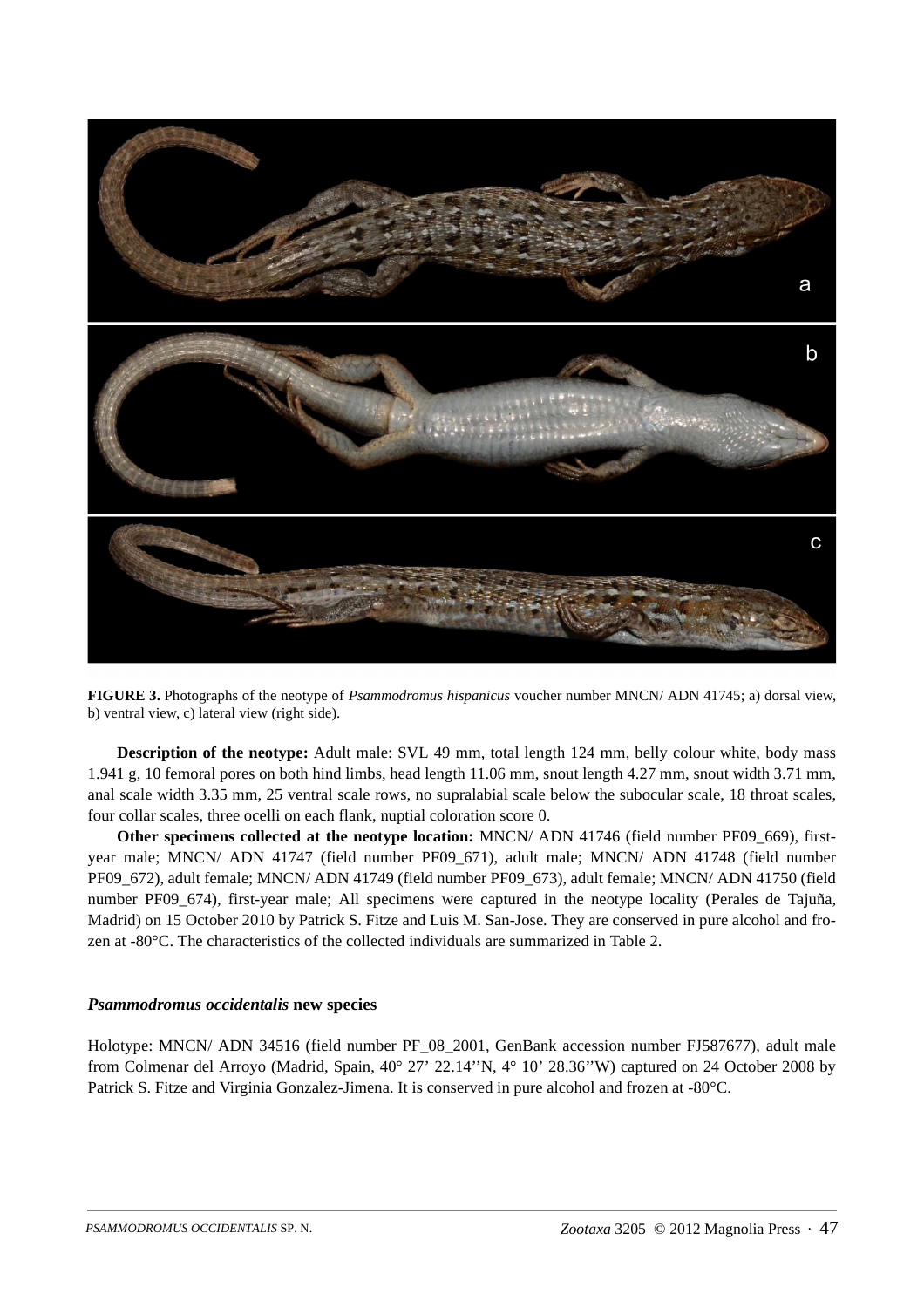

**FIGURE 3.** Photographs of the neotype of *Psammodromus hispanicus* voucher number MNCN/ ADN 41745; a) dorsal view, b) ventral view, c) lateral view (right side).

**Description of the neotype:** Adult male: SVL 49 mm, total length 124 mm, belly colour white, body mass 1.941 g, 10 femoral pores on both hind limbs, head length 11.06 mm, snout length 4.27 mm, snout width 3.71 mm, anal scale width 3.35 mm, 25 ventral scale rows, no supralabial scale below the subocular scale, 18 throat scales, four collar scales, three ocelli on each flank, nuptial coloration score 0.

**Other specimens collected at the neotype location:** MNCN/ ADN 41746 (field number PF09\_669), firstyear male; MNCN/ ADN 41747 (field number PF09\_671), adult male; MNCN/ ADN 41748 (field number PF09\_672), adult female; MNCN/ ADN 41749 (field number PF09\_673), adult female; MNCN/ ADN 41750 (field number PF09\_674), first-year male; All specimens were captured in the neotype locality (Perales de Tajuña, Madrid) on 15 October 2010 by Patrick S. Fitze and Luis M. San-Jose. They are conserved in pure alcohol and frozen at -80°C. The characteristics of the collected individuals are summarized in Table 2.

## *Psammodromus occidentalis* **new species**

Holotype: MNCN/ ADN 34516 (field number PF\_08\_2001, GenBank accession number FJ587677), adult male from Colmenar del Arroyo (Madrid, Spain, 40° 27' 22.14''N, 4° 10' 28.36''W) captured on 24 October 2008 by Patrick S. Fitze and Virginia Gonzalez-Jimena. It is conserved in pure alcohol and frozen at -80°C.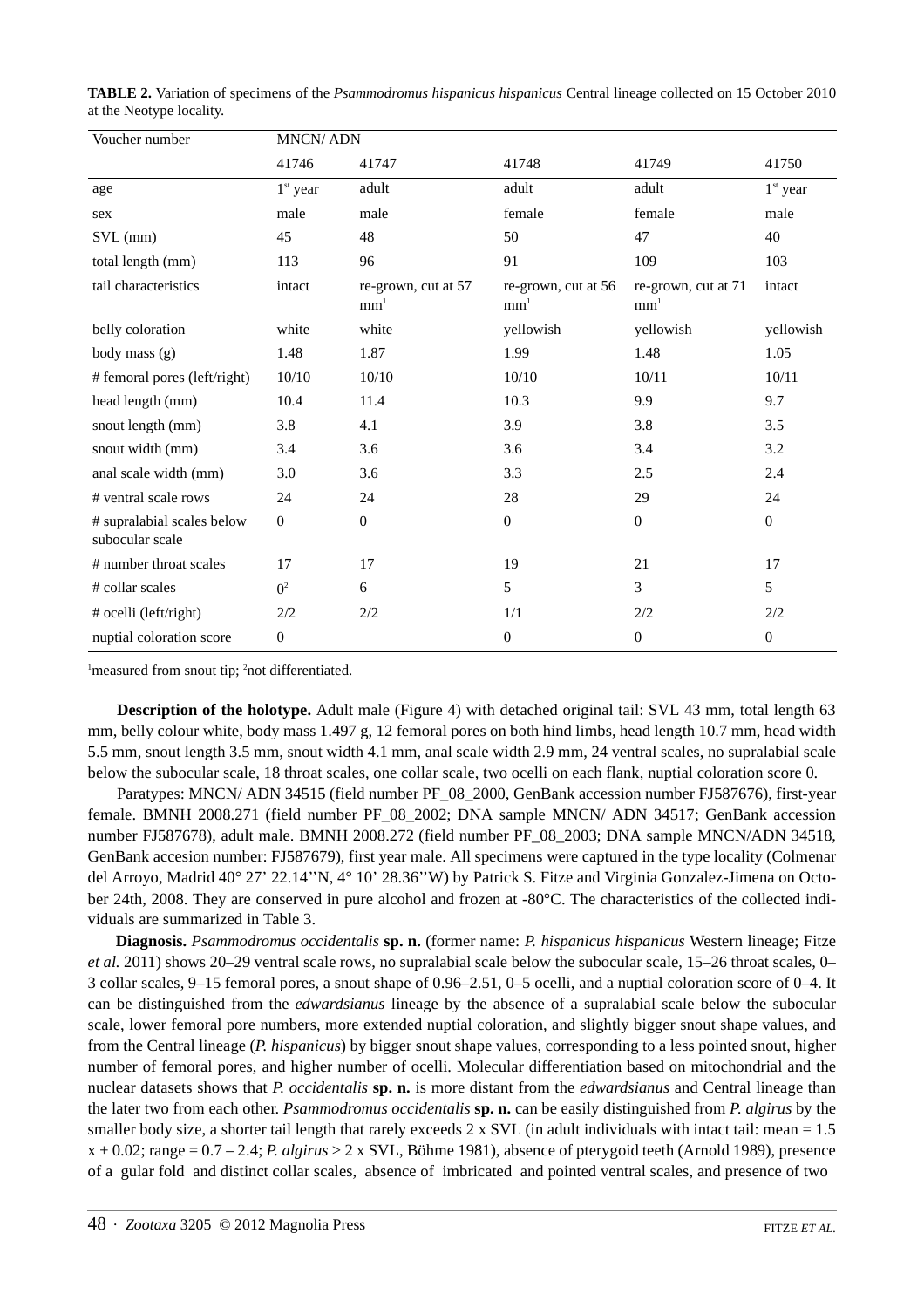| Voucher number                                | <b>MNCN/ADN</b> |                                        |                                        |                                        |                  |  |  |  |
|-----------------------------------------------|-----------------|----------------------------------------|----------------------------------------|----------------------------------------|------------------|--|--|--|
|                                               | 41746           | 41747                                  | 41748                                  | 41749                                  | 41750            |  |  |  |
| age                                           | $1st$ year      | adult                                  | adult                                  | adult                                  | $1st$ year       |  |  |  |
| sex                                           | male            | male                                   | female                                 | female                                 | male             |  |  |  |
| SVL (mm)                                      | 45              | 48                                     | 50                                     | 47                                     | 40               |  |  |  |
| total length (mm)                             | 113             | 96                                     | 91                                     | 109                                    | 103              |  |  |  |
| tail characteristics                          | intact          | re-grown, cut at 57<br>mm <sup>1</sup> | re-grown, cut at 56<br>mm <sup>1</sup> | re-grown, cut at 71<br>mm <sup>1</sup> | intact           |  |  |  |
| belly coloration                              | white           | white                                  | yellowish                              | yellowish                              | yellowish        |  |  |  |
| body mass (g)                                 | 1.48            | 1.87                                   | 1.99                                   | 1.48                                   | 1.05             |  |  |  |
| # femoral pores (left/right)                  | 10/10           | 10/10                                  | 10/10                                  | 10/11                                  | 10/11            |  |  |  |
| head length (mm)                              | 10.4            | 11.4                                   | 10.3                                   | 9.9                                    | 9.7              |  |  |  |
| snout length (mm)                             | 3.8             | 4.1                                    | 3.9                                    | 3.8                                    | 3.5              |  |  |  |
| snout width (mm)                              | 3.4             | 3.6                                    | 3.6                                    | 3.4                                    | 3.2              |  |  |  |
| anal scale width (mm)                         | 3.0             | 3.6                                    | 3.3                                    | 2.5                                    | 2.4              |  |  |  |
| # ventral scale rows                          | 24              | 24                                     | 28                                     | 29                                     | 24               |  |  |  |
| # supralabial scales below<br>subocular scale | $\mathbf{0}$    | $\overline{0}$                         | $\theta$                               | $\mathbf{0}$                           | $\mathbf{0}$     |  |  |  |
| # number throat scales                        | 17              | 17                                     | 19                                     | 21                                     | 17               |  |  |  |
| # collar scales                               | $\Omega^2$      | 6                                      | 5                                      | 3                                      | 5                |  |  |  |
| # ocelli (left/right)                         | 2/2             | 2/2                                    | 1/1                                    | 2/2                                    | 2/2              |  |  |  |
| nuptial coloration score                      | 0               |                                        | $\overline{0}$                         | $\overline{0}$                         | $\boldsymbol{0}$ |  |  |  |

**TABLE 2.** Variation of specimens of the *Psammodromus hispanicus hispanicus* Central lineage collected on 15 October 2010 at the Neotype locality.

<sup>1</sup> measured from snout tip; <sup>2</sup> not differentiated.

**Description of the holotype.** Adult male (Figure 4) with detached original tail: SVL 43 mm, total length 63 mm, belly colour white, body mass 1.497 g, 12 femoral pores on both hind limbs, head length 10.7 mm, head width 5.5 mm, snout length 3.5 mm, snout width 4.1 mm, anal scale width 2.9 mm, 24 ventral scales, no supralabial scale below the subocular scale, 18 throat scales, one collar scale, two ocelli on each flank, nuptial coloration score 0.

Paratypes: MNCN/ ADN 34515 (field number PF\_08\_2000, GenBank accession number FJ587676), first-year female. BMNH 2008.271 (field number PF\_08\_2002; DNA sample MNCN/ ADN 34517; GenBank accession number FJ587678), adult male. BMNH 2008.272 (field number PF\_08\_2003; DNA sample MNCN/ADN 34518, GenBank accesion number: FJ587679), first year male. All specimens were captured in the type locality (Colmenar del Arroyo, Madrid 40° 27' 22.14"N, 4° 10' 28.36"W) by Patrick S. Fitze and Virginia Gonzalez-Jimena on October 24th, 2008. They are conserved in pure alcohol and frozen at -80°C. The characteristics of the collected individuals are summarized in Table 3.

**Diagnosis.** *Psammodromus occidentalis* **sp. n.** (former name: *P. hispanicus hispanicus* Western lineage; Fitze *et al.* 2011) shows 20–29 ventral scale rows, no supralabial scale below the subocular scale, 15–26 throat scales, 0– 3 collar scales, 9–15 femoral pores, a snout shape of 0.96–2.51, 0–5 ocelli, and a nuptial coloration score of 0–4. It can be distinguished from the *edwardsianus* lineage by the absence of a supralabial scale below the subocular scale, lower femoral pore numbers, more extended nuptial coloration, and slightly bigger snout shape values, and from the Central lineage (*P. hispanicus*) by bigger snout shape values, corresponding to a less pointed snout, higher number of femoral pores, and higher number of ocelli. Molecular differentiation based on mitochondrial and the nuclear datasets shows that *P. occidentalis* **sp. n.** is more distant from the *edwardsianus* and Central lineage than the later two from each other. *Psammodromus occidentalis* **sp. n.** can be easily distinguished from *P. algirus* by the smaller body size, a shorter tail length that rarely exceeds  $2 \times$  SVL (in adult individuals with intact tail: mean = 1.5 x ± 0.02; range = 0.7 – 2.4; *P. algirus* > 2 x SVL, Böhme 1981), absence of pterygoid teeth (Arnold 1989), presence of a gular fold and distinct collar scales, absence of imbricated and pointed ventral scales, and presence of two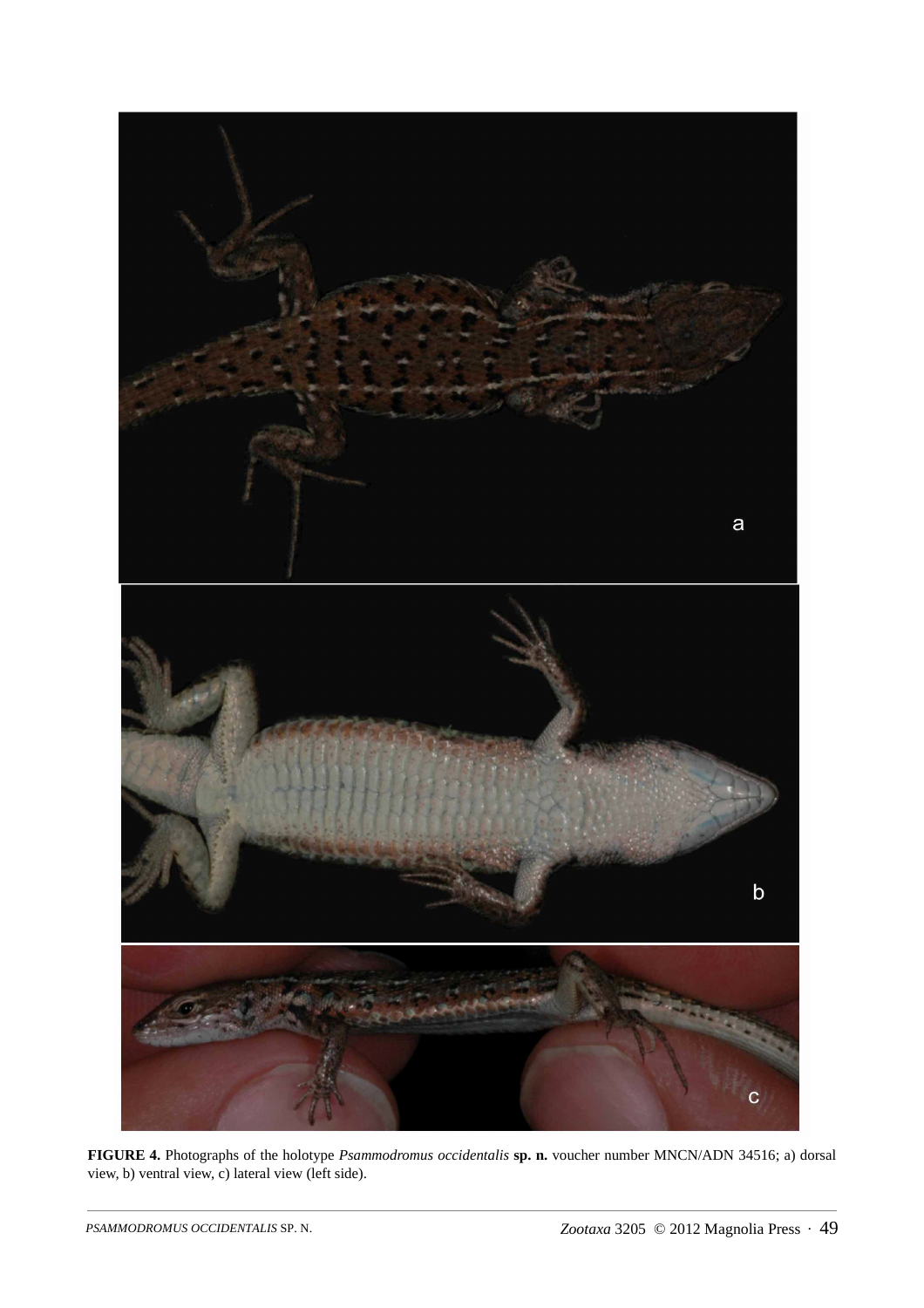

**FIGURE 4.** Photographs of the holotype *Psammodromus occidentalis* **sp. n.** voucher number MNCN/ADN 34516; a) dorsal view, b) ventral view, c) lateral view (left side).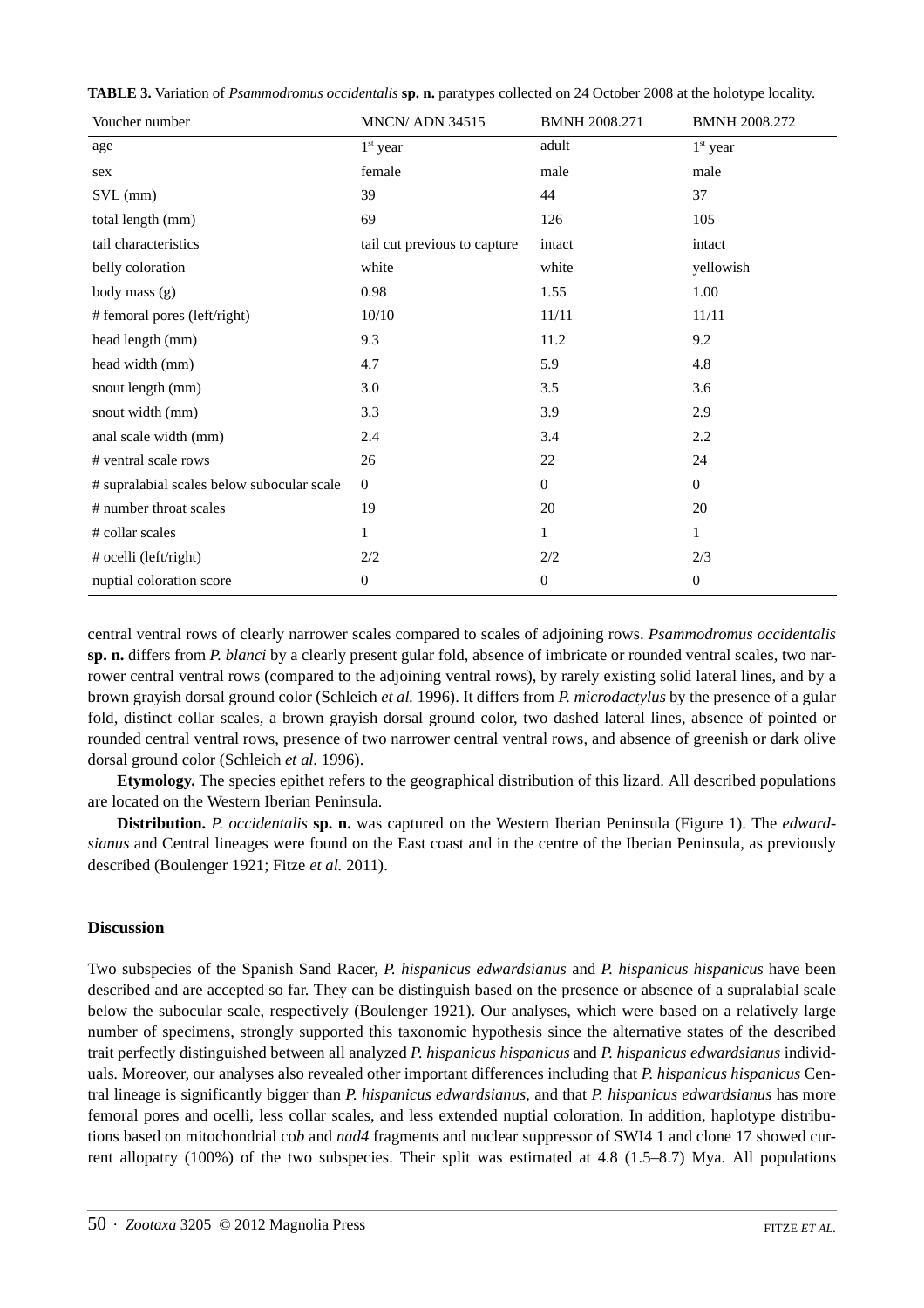| Voucher number                             | <b>MNCN/ ADN 34515</b>       | <b>BMNH 2008.271</b> | BMNH 2008.272    |
|--------------------------------------------|------------------------------|----------------------|------------------|
| age                                        | $1st$ year                   | adult                | $1st$ year       |
| sex                                        | female                       | male                 | male             |
| $SVL$ (mm)                                 | 39                           | 44                   | 37               |
| total length (mm)                          | 69                           | 126                  | 105              |
| tail characteristics                       | tail cut previous to capture | intact               | intact           |
| belly coloration                           | white                        | white                | yellowish        |
| body mass (g)                              | 0.98                         | 1.55                 | 1.00             |
| # femoral pores (left/right)               | 10/10                        | 11/11                | 11/11            |
| head length (mm)                           | 9.3                          | 11.2                 | 9.2              |
| head width (mm)                            | 4.7                          | 5.9                  | 4.8              |
| snout length (mm)                          | 3.0                          | 3.5                  | 3.6              |
| snout width (mm)                           | 3.3                          | 3.9                  | 2.9              |
| anal scale width (mm)                      | 2.4                          | 3.4                  | 2.2              |
| # ventral scale rows                       | 26                           | $22\,$               | 24               |
| # supralabial scales below subocular scale | $\boldsymbol{0}$             | $\boldsymbol{0}$     | $\mathbf{0}$     |
| # number throat scales                     | 19                           | 20                   | 20               |
| # collar scales                            | 1                            | 1                    | 1                |
| # ocelli (left/right)                      | 2/2                          | 2/2                  | 2/3              |
| nuptial coloration score                   | 0                            | 0                    | $\boldsymbol{0}$ |

**TABLE 3.** Variation of *Psammodromus occidentalis* **sp. n.** paratypes collected on 24 October 2008 at the holotype locality.

central ventral rows of clearly narrower scales compared to scales of adjoining rows. *Psammodromus occidentalis* **sp. n.** differs from *P. blanci* by a clearly present gular fold, absence of imbricate or rounded ventral scales, two narrower central ventral rows (compared to the adjoining ventral rows), by rarely existing solid lateral lines, and by a brown grayish dorsal ground color (Schleich *et al.* 1996). It differs from *P. microdactylus* by the presence of a gular fold, distinct collar scales, a brown grayish dorsal ground color, two dashed lateral lines, absence of pointed or rounded central ventral rows, presence of two narrower central ventral rows, and absence of greenish or dark olive dorsal ground color (Schleich *et al.* 1996).

**Etymology.** The species epithet refers to the geographical distribution of this lizard. All described populations are located on the Western Iberian Peninsula.

**Distribution.** *P. occidentalis* **sp. n.** was captured on the Western Iberian Peninsula (Figure 1). The *edwardsianus* and Central lineages were found on the East coast and in the centre of the Iberian Peninsula, as previously described (Boulenger 1921; Fitze *et al.* 2011).

## **Discussion**

Two subspecies of the Spanish Sand Racer, *P. hispanicus edwardsianus* and *P. hispanicus hispanicus* have been described and are accepted so far. They can be distinguish based on the presence or absence of a supralabial scale below the subocular scale, respectively (Boulenger 1921). Our analyses, which were based on a relatively large number of specimens, strongly supported this taxonomic hypothesis since the alternative states of the described trait perfectly distinguished between all analyzed *P. hispanicus hispanicus* and *P. hispanicus edwardsianus* individuals*.* Moreover, our analyses also revealed other important differences including that *P. hispanicus hispanicus* Central lineage is significantly bigger than *P. hispanicus edwardsianus*, and that *P. hispanicus edwardsianus* has more femoral pores and ocelli, less collar scales, and less extended nuptial coloration. In addition, haplotype distributions based on mitochondrial co*b* and *nad4* fragments and nuclear suppressor of SWI4 1 and clone 17 showed current allopatry (100%) of the two subspecies. Their split was estimated at 4.8 (1.5–8.7) Mya. All populations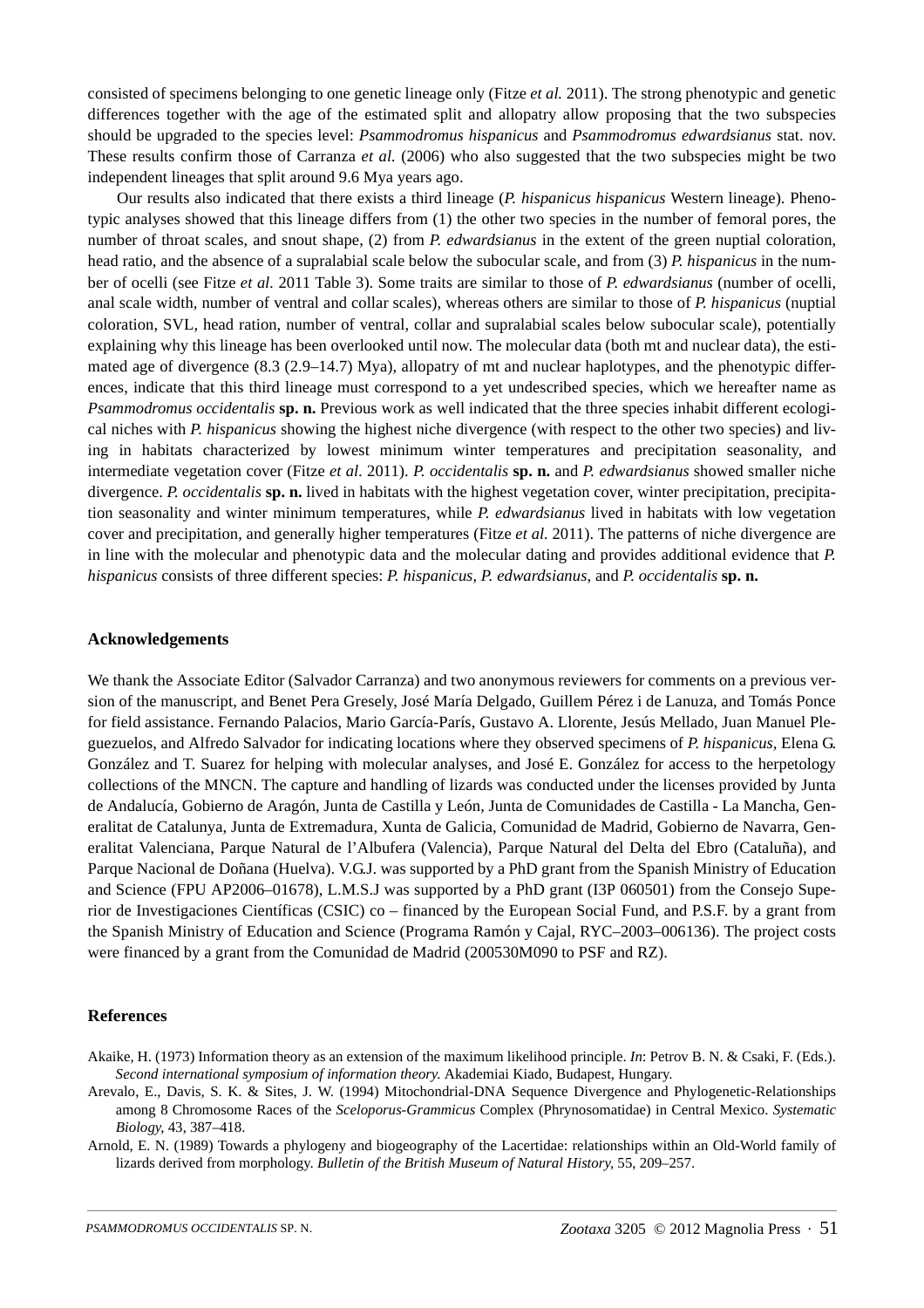consisted of specimens belonging to one genetic lineage only (Fitze *et al.* 2011). The strong phenotypic and genetic differences together with the age of the estimated split and allopatry allow proposing that the two subspecies should be upgraded to the species level: *Psammodromus hispanicus* and *Psammodromus edwardsianus* stat. nov. These results confirm those of Carranza *et al.* (2006) who also suggested that the two subspecies might be two independent lineages that split around 9.6 Mya years ago.

Our results also indicated that there exists a third lineage (*P. hispanicus hispanicus* Western lineage). Phenotypic analyses showed that this lineage differs from (1) the other two species in the number of femoral pores, the number of throat scales, and snout shape, (2) from *P. edwardsianus* in the extent of the green nuptial coloration, head ratio, and the absence of a supralabial scale below the subocular scale, and from (3) *P. hispanicus* in the number of ocelli (see Fitze *et al.* 2011 Table 3). Some traits are similar to those of *P. edwardsianus* (number of ocelli, anal scale width, number of ventral and collar scales), whereas others are similar to those of *P. hispanicus* (nuptial coloration, SVL, head ration, number of ventral, collar and supralabial scales below subocular scale), potentially explaining why this lineage has been overlooked until now. The molecular data (both mt and nuclear data), the estimated age of divergence (8.3 (2.9–14.7) Mya), allopatry of mt and nuclear haplotypes, and the phenotypic differences, indicate that this third lineage must correspond to a yet undescribed species, which we hereafter name as *Psammodromus occidentalis* **sp. n.** Previous work as well indicated that the three species inhabit different ecological niches with *P. hispanicus* showing the highest niche divergence (with respect to the other two species) and living in habitats characterized by lowest minimum winter temperatures and precipitation seasonality, and intermediate vegetation cover (Fitze *et al.* 2011). *P. occidentalis* **sp. n.** and *P. edwardsianus* showed smaller niche divergence. *P. occidentalis* **sp. n.** lived in habitats with the highest vegetation cover, winter precipitation, precipitation seasonality and winter minimum temperatures, while *P. edwardsianus* lived in habitats with low vegetation cover and precipitation, and generally higher temperatures (Fitze *et al.* 2011). The patterns of niche divergence are in line with the molecular and phenotypic data and the molecular dating and provides additional evidence that *P. hispanicus* consists of three different species: *P. hispanicus*, *P. edwardsianus*, and *P. occidentalis* **sp. n.**

#### **Acknowledgements**

We thank the Associate Editor (Salvador Carranza) and two anonymous reviewers for comments on a previous version of the manuscript, and Benet Pera Gresely, José María Delgado, Guillem Pérez i de Lanuza, and Tomás Ponce for field assistance. Fernando Palacios, Mario García-París, Gustavo A. Llorente, Jesús Mellado, Juan Manuel Pleguezuelos, and Alfredo Salvador for indicating locations where they observed specimens of *P. hispanicus,* Elena G. González and T. Suarez for helping with molecular analyses, and José E. González for access to the herpetology collections of the MNCN. The capture and handling of lizards was conducted under the licenses provided by Junta de Andalucía, Gobierno de Aragón, Junta de Castilla y León, Junta de Comunidades de Castilla - La Mancha, Generalitat de Catalunya, Junta de Extremadura, Xunta de Galicia, Comunidad de Madrid, Gobierno de Navarra, Generalitat Valenciana, Parque Natural de l'Albufera (Valencia), Parque Natural del Delta del Ebro (Cataluña), and Parque Nacional de Doñana (Huelva). V.G.J. was supported by a PhD grant from the Spanish Ministry of Education and Science (FPU AP2006–01678), L.M.S.J was supported by a PhD grant (I3P 060501) from the Consejo Superior de Investigaciones Científicas (CSIC) co – financed by the European Social Fund, and P.S.F. by a grant from the Spanish Ministry of Education and Science (Programa Ramón y Cajal, RYC–2003–006136). The project costs were financed by a grant from the Comunidad de Madrid (200530M090 to PSF and RZ).

#### **References**

- Akaike, H. (1973) Information theory as an extension of the maximum likelihood principle. *In*: Petrov B. N. & Csaki, F. (Eds.). *Second international symposium of information theory*. Akademiai Kiado, Budapest, Hungary.
- Arevalo, E., Davis, S. K. & Sites, J. W. (1994) Mitochondrial-DNA Sequence Divergence and Phylogenetic-Relationships among 8 Chromosome Races of the *Sceloporus-Grammicus* Complex (Phrynosomatidae) in Central Mexico. *Systematic Biology*, 43, 387–418.
- Arnold, E. N. (1989) Towards a phylogeny and biogeography of the Lacertidae: relationships within an Old-World family of lizards derived from morphology. *Bulletin of the British Museum of Natural History,* 55, 209–257.